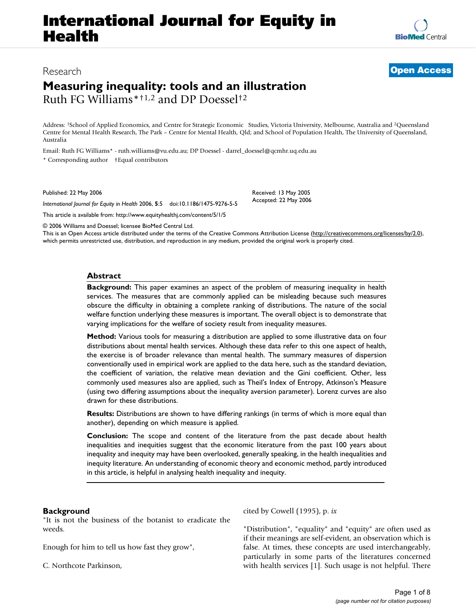# **International Journal for Equity in Health**

Research **[Open Access](http://www.biomedcentral.com/info/about/charter/)**

# **Measuring inequality: tools and an illustration** Ruth FG Williams\*†1,2 and DP Doessel†2

Address: 1School of Applied Economics, and Centre for Strategic Economic Studies, Victoria University, Melbourne, Australia and 2Queensland Centre for Mental Health Research, The Park – Centre for Mental Health, Qld; and School of Population Health, The University of Queensland, Australia

Email: Ruth FG Williams\* - ruth.williams@vu.edu.au; DP Doessel - darrel\_doessel@qcmhr.uq.edu.au

\* Corresponding author †Equal contributors

Published: 22 May 2006

*International Journal for Equity in Health* 2006, **5**:5 doi:10.1186/1475-9276-5-5

[This article is available from: http://www.equityhealthj.com/content/5/1/5](http://www.equityhealthj.com/content/5/1/5)

© 2006 Williams and Doessel; licensee BioMed Central Ltd.

This is an Open Access article distributed under the terms of the Creative Commons Attribution License [\(http://creativecommons.org/licenses/by/2.0\)](http://creativecommons.org/licenses/by/2.0), which permits unrestricted use, distribution, and reproduction in any medium, provided the original work is properly cited.

#### **Abstract**

**Background:** This paper examines an aspect of the problem of measuring inequality in health services. The measures that are commonly applied can be misleading because such measures obscure the difficulty in obtaining a complete ranking of distributions. The nature of the social welfare function underlying these measures is important. The overall object is to demonstrate that varying implications for the welfare of society result from inequality measures.

**Method:** Various tools for measuring a distribution are applied to some illustrative data on four distributions about mental health services. Although these data refer to this one aspect of health, the exercise is of broader relevance than mental health. The summary measures of dispersion conventionally used in empirical work are applied to the data here, such as the standard deviation, the coefficient of variation, the relative mean deviation and the Gini coefficient. Other, less commonly used measures also are applied, such as Theil's Index of Entropy, Atkinson's Measure (using two differing assumptions about the inequality aversion parameter). Lorenz curves are also drawn for these distributions.

**Results:** Distributions are shown to have differing rankings (in terms of which is more equal than another), depending on which measure is applied.

**Conclusion:** The scope and content of the literature from the past decade about health inequalities and inequities suggest that the economic literature from the past 100 years about inequality and inequity may have been overlooked, generally speaking, in the health inequalities and inequity literature. An understanding of economic theory and economic method, partly introduced in this article, is helpful in analysing health inequality and inequity.

#### **Background**

"It is not the business of the botanist to eradicate the weeds.

Enough for him to tell us how fast they grow",

C. Northcote Parkinson,

cited by Cowell (1995), p. *ix*

"Distribution", "equality" and "equity" are often used as if their meanings are self-evident, an observation which is false. At times, these concepts are used interchangeably, particularly in some parts of the literatures concerned with health services [1]. Such usage is not helpful. There



Received: 13 May 2005 Accepted: 22 May 2006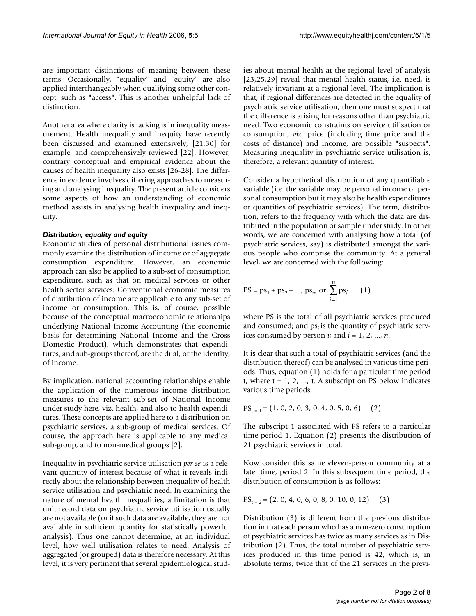are important distinctions of meaning between these terms. Occasionally, "equality" and "equity" are also applied interchangeably when qualifying some other concept, such as "access". This is another unhelpful lack of distinction.

Another area where clarity is lacking is in inequality measurement. Health inequality and inequity have recently been discussed and examined extensively, [21,30] for example, and comprehensively reviewed [22]. However, contrary conceptual and empirical evidence about the causes of health inequality also exists [26-28]. The difference in evidence involves differing approaches to measuring and analysing inequality. The present article considers some aspects of how an understanding of economic method assists in analysing health inequality and inequity.

#### *Distribution, equality and equity*

Economic studies of personal distributional issues commonly examine the distribution of income or of aggregate consumption expenditure. However, an economic approach can also be applied to a sub-set of consumption expenditure, such as that on medical services or other health sector services. Conventional economic measures of distribution of income are applicable to any sub-set of income or consumption. This is, of course, possible because of the conceptual macroeconomic relationships underlying National Income Accounting (the economic basis for determining National Income and the Gross Domestic Product), which demonstrates that expenditures, and sub-groups thereof, are the dual, or the identity, of income.

By implication, national accounting relationships enable the application of the numerous income distribution measures to the relevant sub-set of National Income under study here, viz. health, and also to health expenditures. These concepts are applied here to a distribution on psychiatric services, a sub-group of medical services. Of course, the approach here is applicable to any medical sub-group, and to non-medical groups [2].

Inequality in psychiatric service utilisation *per se* is a relevant quantity of interest because of what it reveals indirectly about the relationship between inequality of health service utilisation and psychiatric need. In examining the nature of mental health inequalities, a limitation is that unit record data on psychiatric service utilisation usually are not available (or if such data are available, they are not available in sufficient quantity for statistically powerful analysis). Thus one cannot determine, at an individual level, how well utilisation relates to need. Analysis of aggregated (or grouped) data is therefore necessary. At this level, it is very pertinent that several epidemiological studies about mental health at the regional level of analysis [23,25,29] reveal that mental health status, i.e. need, is relatively invariant at a regional level. The implication is that, if regional differences are detected in the equality of psychiatric service utilisation, then one must suspect that the difference is arising for reasons other than psychiatric need. Two economic constraints on service utilisation or consumption, *viz.* price (including time price and the costs of distance) and income, are possible "suspects". Measuring inequality in psychiatric service utilisation is, therefore, a relevant quantity of interest.

Consider a hypothetical distribution of any quantifiable variable (i.e. the variable may be personal income or personal consumption but it may also be health expenditures or quantities of psychiatric services). The term, distribution, refers to the frequency with which the data are distributed in the population or sample under study. In other words, we are concerned with analysing how a total (of psychiatric services, say) is distributed amongst the various people who comprise the community. At a general level, we are concerned with the following:

$$
PS = ps_1 + ps_2 + ..., ps_{n'} \text{ or } \sum_{i=1}^{n} ps_i \qquad (1)
$$

where PS is the total of all psychiatric services produced and consumed; and ps*i* is the quantity of psychiatric services consumed by person  $i$ ; and  $i = 1, 2, ..., n$ .

It is clear that such a total of psychiatric services (and the distribution thereof) can be analysed in various time periods. Thus, equation (1) holds for a particular time period t, where  $t = 1, 2, ..., t$ . A subscript on PS below indicates various time periods.

$$
PS_{t=1} = (1, 0, 2, 0, 3, 0, 4, 0, 5, 0, 6) (2)
$$

The subscript 1 associated with PS refers to a particular time period 1. Equation (2) presents the distribution of 21 psychiatric services in total.

Now consider this same eleven-person community at a later time, period 2. In this subsequent time period, the distribution of consumption is as follows:

$$
PS_{t=2} = (2, 0, 4, 0, 6, 0, 8, 0, 10, 0, 12) \quad (3)
$$

Distribution (3) is different from the previous distribution in that each person who has a non-zero consumption of psychiatric services has twice as many services as in Distribution (2). Thus, the total number of psychiatric services produced in this time period is 42, which is, in absolute terms, twice that of the 21 services in the previ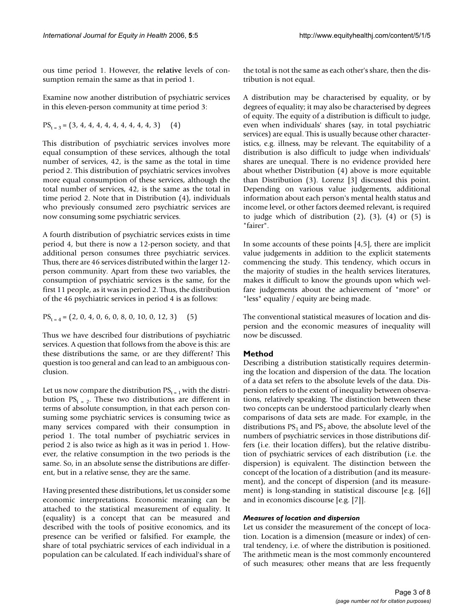ous time period 1. However, the **relative** levels of consumption remain the same as that in period 1.

Examine now another distribution of psychiatric services in this eleven-person community at time period 3:

 $PS_{t-3} = (3, 4, 4, 4, 4, 4, 4, 4, 4, 4, 3)$  (4)

This distribution of psychiatric services involves more equal consumption of these services, although the total number of services, 42, is the same as the total in time period 2. This distribution of psychiatric services involves more equal consumption of these services, although the total number of services, 42, is the same as the total in time period 2. Note that in Distribution (4), individuals who previously consumed zero psychiatric services are now consuming some psychiatric services.

A fourth distribution of psychiatric services exists in time period 4, but there is now a 12-person society, and that additional person consumes three psychiatric services. Thus, there are 46 services distributed within the larger 12 person community. Apart from these two variables, the consumption of psychiatric services is the same, for the first 11 people, as it was in period 2. Thus, the distribution of the 46 psychiatric services in period 4 is as follows:

 $PS_{t = 4} = (2, 0, 4, 0, 6, 0, 8, 0, 10, 0, 12, 3)$  (5)

Thus we have described four distributions of psychiatric services. A question that follows from the above is this: are these distributions the same, or are they different? This question is too general and can lead to an ambiguous conclusion.

Let us now compare the distribution  $PS_{t=1}$  with the distribution PS<sub>t = 2</sub>. These two distributions are different in terms of absolute consumption, in that each person consuming some psychiatric services is consuming twice as many services compared with their consumption in period 1. The total number of psychiatric services in period 2 is also twice as high as it was in period 1. However, the relative consumption in the two periods is the same. So, in an absolute sense the distributions are different, but in a relative sense, they are the same.

Having presented these distributions, let us consider some economic interpretations. Economic meaning can be attached to the statistical measurement of equality. It (equality) is a concept that can be measured and described with the tools of positive economics, and its presence can be verified or falsified. For example, the share of total psychiatric services of each individual in a population can be calculated. If each individual's share of the total is not the same as each other's share, then the distribution is not equal.

A distribution may be characterised by equality, or by degrees of equality; it may also be characterised by degrees of equity. The equity of a distribution is difficult to judge, even when individuals' shares (say, in total psychiatric services) are equal. This is usually because other characteristics, e.g. illness, may be relevant. The equitability of a distribution is also difficult to judge when individuals' shares are unequal. There is no evidence provided here about whether Distribution (4) above is more equitable than Distribution (3). Lorenz [3] discussed this point. Depending on various value judgements, additional information about each person's mental health status and income level, or other factors deemed relevant, is required to judge which of distribution  $(2)$ ,  $(3)$ ,  $(4)$  or  $(5)$  is "fairer".

In some accounts of these points [4,5], there are implicit value judgements in addition to the explicit statements commencing the study. This tendency, which occurs in the majority of studies in the health services literatures, makes it difficult to know the grounds upon which welfare judgements about the achievement of "more" or "less" equality / equity are being made.

The conventional statistical measures of location and dispersion and the economic measures of inequality will now be discussed.

#### **Method**

Describing a distribution statistically requires determining the location and dispersion of the data. The location of a data set refers to the absolute levels of the data. Dispersion refers to the extent of inequality between observations, relatively speaking. The distinction between these two concepts can be understood particularly clearly when comparisons of data sets are made. For example, in the distributions  $PS_1$  and  $PS_2$  above, the absolute level of the numbers of psychiatric services in those distributions differs (i.e. their location differs), but the relative distribution of psychiatric services of each distribution (i.e. the dispersion) is equivalent. The distinction between the concept of the location of a distribution (and its measurement), and the concept of dispersion (and its measurement) is long-standing in statistical discourse [e.g. [6]] and in economics discourse [e.g. [7]].

#### *Measures of location and dispersion*

Let us consider the measurement of the concept of location. Location is a dimension (measure or index) of central tendency, i.e. of where the distribution is positioned. The arithmetic mean is the most commonly encountered of such measures; other means that are less frequently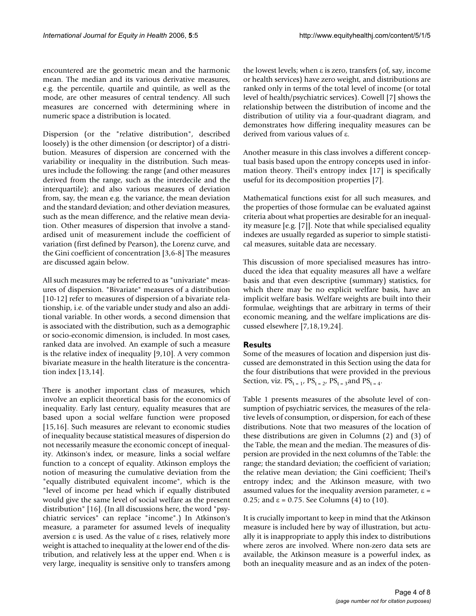encountered are the geometric mean and the harmonic mean. The median and its various derivative measures, e.g. the percentile, quartile and quintile, as well as the mode, are other measures of central tendency. All such measures are concerned with determining where in numeric space a distribution is located.

Dispersion (or the "relative distribution", described loosely) is the other dimension (or descriptor) of a distribution. Measures of dispersion are concerned with the variability or inequality in the distribution. Such measures include the following: the range (and other measures derived from the range, such as the interdecile and the interquartile); and also various measures of deviation from, say, the mean e.g. the variance, the mean deviation and the standard deviation; and other deviation measures, such as the mean difference, and the relative mean deviation. Other measures of dispersion that involve a standardised unit of measurement include the coefficient of variation (first defined by Pearson), the Lorenz curve, and the Gini coefficient of concentration [3,6-8] The measures are discussed again below.

All such measures may be referred to as "univariate" measures of dispersion. "Bivariate" measures of a distribution [10-12] refer to measures of dispersion of a bivariate relationship, i.e. of the variable under study and also an additional variable. In other words, a second dimension that is associated with the distribution, such as a demographic or socio-economic dimension, is included. In most cases, ranked data are involved. An example of such a measure is the relative index of inequality [9,10]. A very common bivariate measure in the health literature is the concentration index [13,14].

There is another important class of measures, which involve an explicit theoretical basis for the economics of inequality. Early last century, equality measures that are based upon a social welfare function were proposed [15,16]. Such measures are relevant to economic studies of inequality because statistical measures of dispersion do not necessarily measure the economic concept of inequality. Atkinson's index, or measure, links a social welfare function to a concept of equality. Atkinson employs the notion of measuring the cumulative deviation from the "equally distributed equivalent income", which is the "level of income per head which if equally distributed would give the same level of social welfare as the present distribution" [16]. (In all discussions here, the word "psychiatric services" can replace "income".) In Atkinson's measure, a parameter for assumed levels of inequality aversion ε is used. As the value of ε rises, relatively more weight is attached to inequality at the lower end of the distribution, and relatively less at the upper end. When ε is very large, inequality is sensitive only to transfers among the lowest levels; when ε is zero, transfers (of, say, income or health services) have zero weight, and distributions are ranked only in terms of the total level of income (or total level of health/psychiatric services). Cowell [7] shows the relationship between the distribution of income and the distribution of utility via a four-quadrant diagram, and demonstrates how differing inequality measures can be derived from various values of ε.

Another measure in this class involves a different conceptual basis based upon the entropy concepts used in information theory. Theil's entropy index [17] is specifically useful for its decomposition properties [7].

Mathematical functions exist for all such measures, and the properties of those formulae can be evaluated against criteria about what properties are desirable for an inequality measure [e.g. [7]]. Note that while specialised equality indexes are usually regarded as superior to simple statistical measures, suitable data are necessary.

This discussion of more specialised measures has introduced the idea that equality measures all have a welfare basis and that even descriptive (summary) statistics, for which there may be no explicit welfare basis, have an implicit welfare basis. Welfare weights are built into their formulae, weightings that are arbitrary in terms of their economic meaning, and the welfare implications are discussed elsewhere [7,18,19,24].

# **Results**

Some of the measures of location and dispersion just discussed are demonstrated in this Section using the data for the four distributions that were provided in the previous Section, viz.  $PS_{t=1}$ ,  $PS_{t=2}$ ,  $PS_{t=3}$  and  $PS_{t=4}$ .

Table 1 presents measures of the absolute level of consumption of psychiatric services, the measures of the relative levels of consumption, or dispersion, for each of these distributions. Note that two measures of the location of these distributions are given in Columns (2) and (3) of the Table, the mean and the median. The measures of dispersion are provided in the next columns of the Table: the range; the standard deviation; the coefficient of variation; the relative mean deviation; the Gini coefficient; Theil's entropy index; and the Atkinson measure, with two assumed values for the inequality aversion parameter,  $\varepsilon$  = 0.25; and  $\varepsilon$  = 0.75. See Columns (4) to (10).

It is crucially important to keep in mind that the Atkinson measure is included here by way of illustration, but actually it is inappropriate to apply this index to distributions where zeros are involved. Where non-zero data sets are available, the Atkinson measure is a powerful index, as both an inequality measure and as an index of the poten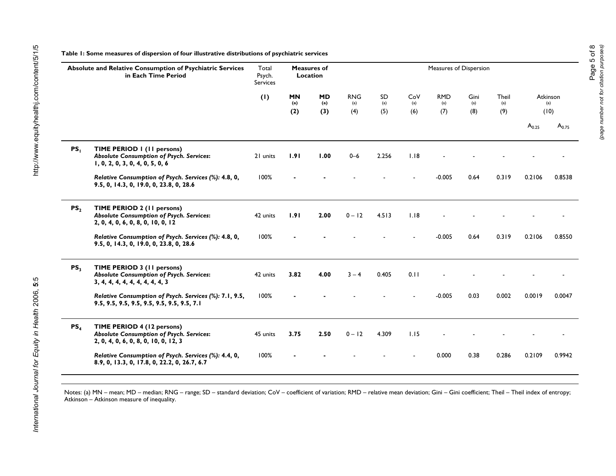**Table 1: Some measures of dispersion of four illustrative distributions of psychiatric services**

| Absolute and Relative Consumption of Psychiatric Services<br>in Each Time Period |                                                                                                                       | <b>Measures of</b><br>Total<br>Psych.<br>Location<br><b>Services</b> |                         |                         | Measures of Dispersion   |                  |                   |                          |                    |                     |                         |            |
|----------------------------------------------------------------------------------|-----------------------------------------------------------------------------------------------------------------------|----------------------------------------------------------------------|-------------------------|-------------------------|--------------------------|------------------|-------------------|--------------------------|--------------------|---------------------|-------------------------|------------|
|                                                                                  |                                                                                                                       | (1)                                                                  | <b>MN</b><br>(a)<br>(2) | <b>MD</b><br>(a)<br>(3) | <b>RNG</b><br>(a)<br>(4) | SD<br>(a)<br>(5) | CoV<br>(a)<br>(6) | <b>RMD</b><br>(a)<br>(7) | Gini<br>(a)<br>(8) | Theil<br>(a)<br>(9) | Atkinson<br>(a)<br>(10) |            |
|                                                                                  |                                                                                                                       |                                                                      |                         |                         |                          |                  |                   |                          |                    |                     | $A_{0.25}$              | $A_{0.75}$ |
| PS <sub>1</sub>                                                                  | TIME PERIOD   (II persons)<br>Absolute Consumption of Psych. Services:<br>1, 0, 2, 0, 3, 0, 4, 0, 5, 0, 6             | 21 units                                                             | 1.91                    | 1.00                    | $0 - 6$                  | 2.256            | 1.18              |                          |                    |                     |                         |            |
|                                                                                  | Relative Consumption of Psych. Services (%): 4.8, 0,<br>9.5, 0, 14.3, 0, 19.0, 0, 23.8, 0, 28.6                       | 100%                                                                 |                         |                         |                          |                  |                   | $-0.005$                 | 0.64               | 0.319               | 0.2106                  | 0.8538     |
| PS <sub>2</sub>                                                                  | TIME PERIOD 2 (11 persons)<br>Absolute Consumption of Psych. Services:<br>2, 0, 4, 0, 6, 0, 8, 0, 10, 0, 12           | 42 units                                                             | 1.91                    | 2.00                    | $0 - 12$                 | 4.513            | 1.18              |                          |                    |                     |                         |            |
|                                                                                  | Relative Consumption of Psych. Services (%): 4.8, 0,<br>9.5, 0, 14.3, 0, 19.0, 0, 23.8, 0, 28.6                       | 100%                                                                 |                         |                         |                          |                  |                   | $-0.005$                 | 0.64               | 0.319               | 0.2106                  | 0.8550     |
| $PS_3$                                                                           | TIME PERIOD 3 (11 persons)<br>Absolute Consumption of Psych. Services:<br>3, 4, 4, 4, 4, 4, 4, 4, 4, 4, 3             | 42 units                                                             | 3.82                    | 4.00                    | $3 - 4$                  | 0.405            | 0.11              |                          |                    |                     |                         |            |
|                                                                                  | Relative Consumption of Psych. Services (%): 7.1, 9.5,                                                                | 100%                                                                 |                         |                         |                          |                  |                   | $-0.005$                 | 0.03               | 0.002               | 0.0019                  | 0.0047     |
| PS <sub>4</sub>                                                                  | TIME PERIOD 4 (12 persons)<br><b>Absolute Consumption of Psych. Services:</b><br>2, 0, 4, 0, 6, 0, 8, 0, 10, 0, 12, 3 | 45 units                                                             | 3.75                    | 2.50                    | $0 - 12$                 | 4.309            | 1.15              |                          |                    |                     |                         |            |
|                                                                                  | Relative Consumption of Psych. Services (%): 4.4, 0,<br>8.9, 0, 13.3, 0, 17.8, 0, 22.2, 0, 26.7, 6.7                  | 100%                                                                 |                         |                         |                          |                  |                   | 0.000                    | 0.38               | 0.286               | 0.2109                  | 0.9942     |

Notes: (a) MN – mean; MD – median; RNG – range; SD – standard deviation; CoV – coefficient of variation; RMD – relative mean deviation; Gini – Gini coefficient; Theil – Theil index of entropy; Atkinson – Atkinson measure of inequality.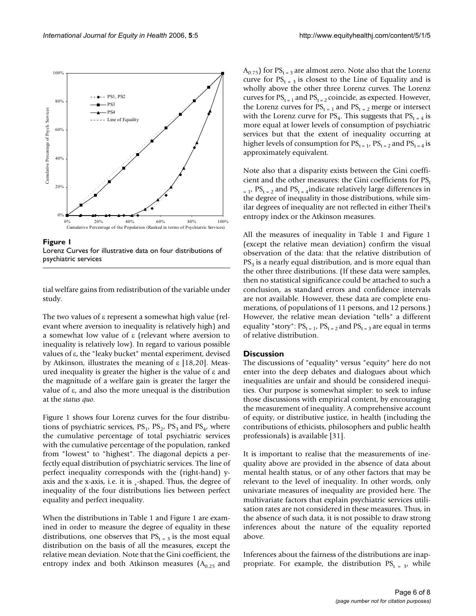

Figure 1 Lorenz Curves for illustrative data on four distributions of psychiatric services

tial welfare gains from redistribution of the variable under study.

The two values of ε represent a somewhat high value (relevant where aversion to inequality is relatively high) and a somewhat low value of ε (relevant where aversion to inequality is relatively low). In regard to various possible values of ε, the "leaky bucket" mental experiment, devised by Atkinson, illustrates the meaning of ε [18,20]. Measured inequality is greater the higher is the value of ε and the magnitude of a welfare gain is greater the larger the value of ε, and also the more unequal is the distribution at the *status quo*.

Figure 1 shows four Lorenz curves for the four distributions of psychiatric services,  $PS_1$ ,  $PS_2$ ,  $PS_3$  and  $PS_4$ , where the cumulative percentage of total psychiatric services with the cumulative percentage of the population, ranked from "lowest" to "highest". The diagonal depicts a perfectly equal distribution of psychiatric services. The line of perfect inequality corresponds with the (right-hand) yaxis and the x-axis, i.e. it is  $_{+}$ -shaped. Thus, the degree of inequality of the four distributions lies between perfect equality and perfect inequality.

When the distributions in Table 1 and Figure 1 are examined in order to measure the degree of equality in these distributions, one observes that  $PS_{t=3}$  is the most equal distribution on the basis of all the measures, except the relative mean deviation. Note that the Gini coefficient, the entropy index and both Atkinson measures  $(A<sub>0.25</sub>$  and

 $A_{0.75}$ ) for PS<sub>t = 3</sub> are almost zero. Note also that the Lorenz curve for  $PS_{t=3}$  is closest to the Line of Equality and is wholly above the other three Lorenz curves. The Lorenz curves for  $PS_{t=1}$  and  $PS_{t=2}$  coincide, as expected. However, the Lorenz curves for  $PS_{t=1}$  and  $PS_{t=2}$  merge or intersect with the Lorenz curve for  $PS_4$ . This suggests that  $PS_{t=4}$  is more equal at lower levels of consumption of psychiatric services but that the extent of inequality occurring at higher levels of consumption for  $PS_{t=1}$ ,  $PS_{t=2}$  and  $PS_{t=4}$  is approximately equivalent.

Note also that a disparity exists between the Gini coefficient and the other measures: the Gini coefficients for  $PS<sub>t</sub>$  $=$  1, PS<sub>t = 2</sub> and PS<sub>t = 4</sub>indicate relatively large differences in the degree of inequality in those distributions, while similar degrees of inequality are not reflected in either Theil's entropy index or the Atkinson measures.

All the measures of inequality in Table 1 and Figure 1 (except the relative mean deviation) confirm the visual observation of the data: that the relative distribution of  $PS<sub>3</sub>$  is a nearly equal distribution, and is more equal than the other three distributions. (If these data were samples, then no statistical significance could be attached to such a conclusion, as standard errors and confidence intervals are not available. However, these data are complete enumerations, of populations of 11 persons, and 12 persons.) However, the relative mean deviation "tells" a different equality "story":  $PS_{t=1}$ ,  $PS_{t=2}$  and  $PS_{t=3}$  are equal in terms of relative distribution.

#### **Discussion**

The discussions of "equality" versus "equity" here do not enter into the deep debates and dialogues about which inequalities are unfair and should be considered inequities. Our purpose is somewhat simpler: to seek to infuse those discussions with empirical content, by encouraging the measurement of inequality. A comprehensive account of equity, or distributive justice, in health (including the contributions of ethicists, philosophers and public health professionals) is available [31].

It is important to realise that the measurements of inequality above are provided in the absence of data about mental health status, or of any other factors that may be relevant to the level of inequality. In other words, only univariate measures of inequality are provided here. The multivariate factors that explain psychiatric services utilisation rates are not considered in these measures. Thus, in the absence of such data, it is not possible to draw strong inferences about the nature of the equality reported above.

Inferences about the fairness of the distributions are inappropriate. For example, the distribution  $PS_{t} = 3$ , while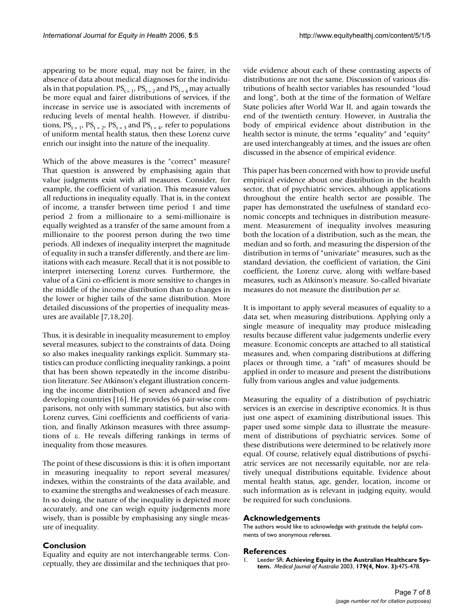appearing to be more equal, may not be fairer, in the absence of data about medical diagnoses for the individuals in that population.  $PS_{t=1}$ ,  $PS_{t=2}$  and  $PS_{t=4}$  may actually be more equal and fairer distributions of services, if the increase in service use is associated with increments of reducing levels of mental health. However, if distributions,  $PS_{t=1}$ ,  $PS_{t=2}$ ,  $PS_{t=3}$  and  $PS_{t=4}$ , refer to populations of uniform mental health status, then these Lorenz curve enrich our insight into the nature of the inequality.

Which of the above measures is the "correct" measure? That question is answered by emphasising again that value judgments exist with all measures. Consider, for example, the coefficient of variation. This measure values all reductions in inequality equally. That is, in the context of income, a transfer between time period 1 and time period 2 from a millionaire to a semi-millionaire is equally weighted as a transfer of the same amount from a millionaire to the poorest person during the two time periods. All indexes of inequality interpret the magnitude of equality in such a transfer differently, and there are limitations with each measure. Recall that it is not possible to interpret intersecting Lorenz curves. Furthermore, the value of a Gini co-efficient is more sensitive to changes in the middle of the income distribution than to changes in the lower or higher tails of the same distribution. More detailed discussions of the properties of inequality measures are available [7,18,20].

Thus, it is desirable in inequality measurement to employ several measures, subject to the constraints of data. Doing so also makes inequality rankings explicit. Summary statistics can produce conflicting inequality rankings, a point that has been shown repeatedly in the income distribution literature. See Atkinson's elegant illustration concerning the income distribution of seven advanced and five developing countries [16]. He provides 66 pair-wise comparisons, not only with summary statistics, but also with Lorenz curves, Gini coefficients and coefficients of variation, and finally Atkinson measures with three assumptions of ε. He reveals differing rankings in terms of inequality from those measures.

The point of these discussions is this: it is often important in measuring inequality to report several measures/ indexes, within the constraints of the data available, and to examine the strengths and weaknesses of each measure. In so doing, the nature of the inequality is depicted more accurately, and one can weigh equity judgements more wisely, than is possible by emphasising any single measure of inequality.

# **Conclusion**

Equality and equity are not interchangeable terms. Conceptually, they are dissimilar and the techniques that provide evidence about each of these contrasting aspects of distributions are not the same. Discussion of various distributions of health sector variables has resounded "loud and long", both at the time of the formation of Welfare State policies after World War II, and again towards the end of the twentieth century. However, in Australia the body of empirical evidence about distribution in the health sector is minute, the terms "equality" and "equity" are used interchangeably at times, and the issues are often discussed in the absence of empirical evidence.

This paper has been concerned with how to provide useful empirical evidence about one distribution in the health sector, that of psychiatric services, although applications throughout the entire health sector are possible. The paper has demonstrated the usefulness of standard economic concepts and techniques in distribution measurement. Measurement of inequality involves measuring both the location of a distribution, such as the mean, the median and so forth, and measuring the dispersion of the distribution in terms of "univariate" measures, such as the standard deviation, the coefficient of variation, the Gini coefficient, the Lorenz curve, along with welfare-based measures, such as Atkinson's measure. So-called bivariate measures do not measure the distribution *per se*.

It is important to apply several measures of equality to a data set, when measuring distributions. Applying only a single measure of inequality may produce misleading results because different value judgements underlie every measure. Economic concepts are attached to all statistical measures and, when comparing distributions at differing places or through time, a "raft" of measures should be applied in order to measure and present the distributions fully from various angles and value judgements.

Measuring the equality of a distribution of psychiatric services is an exercise in descriptive economics. It is thus just one aspect of examining distributional issues. This paper used some simple data to illustrate the measurement of distributions of psychiatric services. Some of these distributions were determined to be relatively more equal. Of course, relatively equal distributions of psychiatric services are not necessarily equitable, nor are relatively unequal distributions equitable. Evidence about mental health status, age, gender, location, income or such information as is relevant in judging equity, would be required for such conclusions.

# **Acknowledgements**

The authors would like to acknowledge with gratitude the helpful comments of two anonymous referees.

#### **References**

1. Leeder SR: **[Achieving Equity in the Australian Healthcare Sys](http://www.ncbi.nlm.nih.gov/entrez/query.fcgi?cmd=Retrieve&db=PubMed&dopt=Abstract&list_uids=14583078)[tem.](http://www.ncbi.nlm.nih.gov/entrez/query.fcgi?cmd=Retrieve&db=PubMed&dopt=Abstract&list_uids=14583078)** *Medical Journal of Australia* 2003, **179(4, Nov. 3):**475-478.